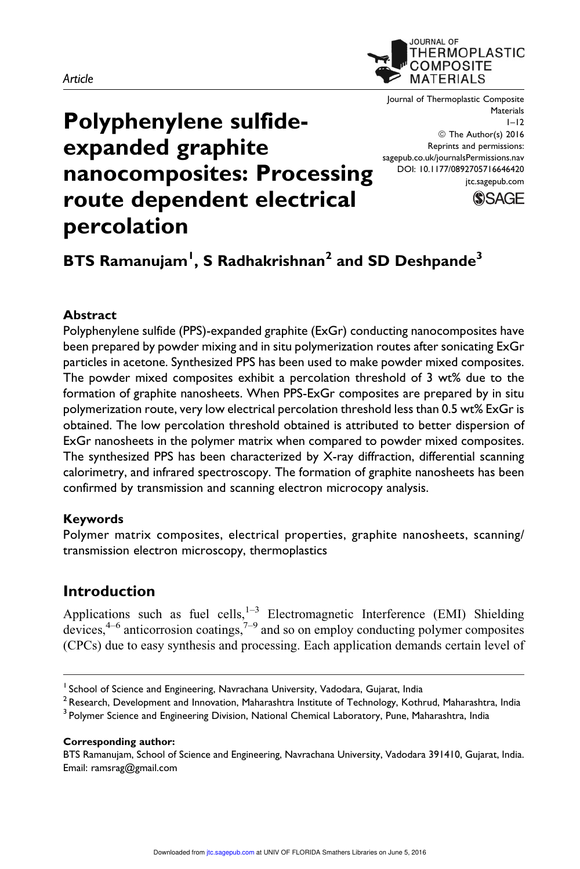

Polyphenylene sulfideexpanded graphite nanocomposites: Processing route dependent electrical percolation

Journal of Thermoplastic Composite Materials  $1 - 12$ © The Author(s) 2016 Reprints and permissions: sagepub.co.uk/journalsPermissions.nav DOI: 10.1177/0892705716646420 jtc.sagepub.com



# $\overline{\textbf{BTS}}$  Ramanujam $^{\textsf{I}}$ , S Radhakrishnan $^{\textsf{2}}$  and SD Deshpande $^{\textsf{3}}$

#### Abstract

Polyphenylene sulfide (PPS)-expanded graphite (ExGr) conducting nanocomposites have been prepared by powder mixing and in situ polymerization routes after sonicating ExGr particles in acetone. Synthesized PPS has been used to make powder mixed composites. The powder mixed composites exhibit a percolation threshold of 3 wt% due to the formation of graphite nanosheets. When PPS-ExGr composites are prepared by in situ polymerization route, very low electrical percolation threshold less than 0.5 wt% ExGr is obtained. The low percolation threshold obtained is attributed to better dispersion of ExGr nanosheets in the polymer matrix when compared to powder mixed composites. The synthesized PPS has been characterized by X-ray diffraction, differential scanning calorimetry, and infrared spectroscopy. The formation of graphite nanosheets has been confirmed by transmission and scanning electron microcopy analysis.

#### Keywords

Polymer matrix composites, electrical properties, graphite nanosheets, scanning/ transmission electron microscopy, thermoplastics

# Introduction

Applications such as fuel cells, $1-3$  Electromagnetic Interference (EMI) Shielding devices,<sup>4–6</sup> anticorrosion coatings, $7-9$  and so on employ conducting polymer composites (CPCs) due to easy synthesis and processing. Each application demands certain level of

#### Corresponding author:

BTS Ramanujam, School of Science and Engineering, Navrachana University, Vadodara 391410, Gujarat, India. Email: ramsrag@gmail.com

<sup>&</sup>lt;sup>1</sup> School of Science and Engineering, Navrachana University, Vadodara, Gujarat, India

 $^{\rm 2}$ Research, Development and Innovation, Maharashtra Institute of Technology, Kothrud, Maharashtra, India

 $^{\rm 3}$  Polymer Science and Engineering Division, National Chemical Laboratory, Pune, Maharashtra, India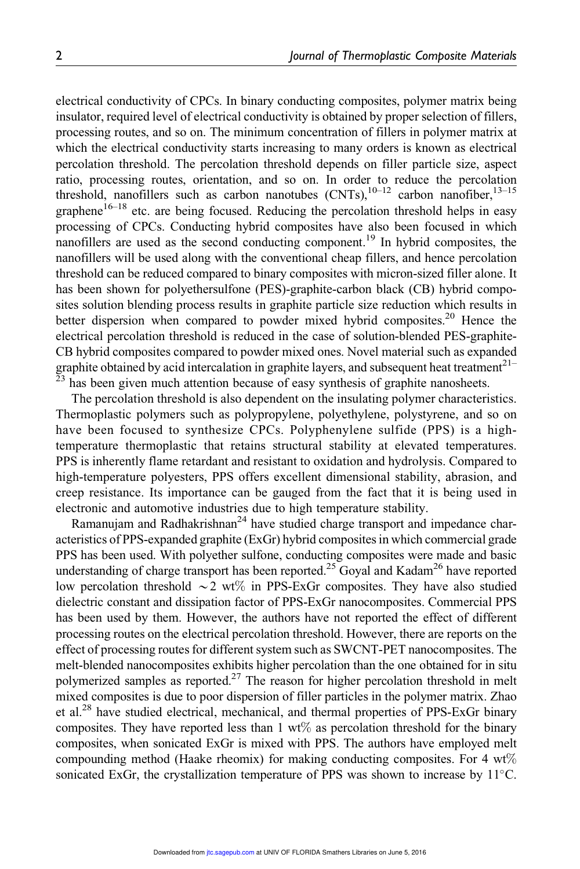electrical conductivity of CPCs. In binary conducting composites, polymer matrix being insulator, required level of electrical conductivity is obtained by proper selection of fillers, processing routes, and so on. The minimum concentration of fillers in polymer matrix at which the electrical conductivity starts increasing to many orders is known as electrical percolation threshold. The percolation threshold depends on filler particle size, aspect ratio, processing routes, orientation, and so on. In order to reduce the percolation threshold, nanofillers such as carbon nanotubes  $(CNTs)$ ,  $10-12$  carbon nanofiber,  $13-15$ graphene<sup>16–18</sup> etc. are being focused. Reducing the percolation threshold helps in easy processing of CPCs. Conducting hybrid composites have also been focused in which nanofillers are used as the second conducting component.<sup>19</sup> In hybrid composites, the nanofillers will be used along with the conventional cheap fillers, and hence percolation threshold can be reduced compared to binary composites with micron-sized filler alone. It has been shown for polyethersulfone (PES)-graphite-carbon black (CB) hybrid composites solution blending process results in graphite particle size reduction which results in better dispersion when compared to powder mixed hybrid composites.<sup>20</sup> Hence the electrical percolation threshold is reduced in the case of solution-blended PES-graphite-CB hybrid composites compared to powder mixed ones. Novel material such as expanded graphite obtained by acid intercalation in graphite layers, and subsequent heat treatment<sup>21–</sup>  $23$  has been given much attention because of easy synthesis of graphite nanosheets.

The percolation threshold is also dependent on the insulating polymer characteristics. Thermoplastic polymers such as polypropylene, polyethylene, polystyrene, and so on have been focused to synthesize CPCs. Polyphenylene sulfide (PPS) is a hightemperature thermoplastic that retains structural stability at elevated temperatures. PPS is inherently flame retardant and resistant to oxidation and hydrolysis. Compared to high-temperature polyesters, PPS offers excellent dimensional stability, abrasion, and creep resistance. Its importance can be gauged from the fact that it is being used in electronic and automotive industries due to high temperature stability.

Ramanujam and Radhakrishnan<sup>24</sup> have studied charge transport and impedance characteristics of PPS-expanded graphite (ExGr) hybrid composites in which commercial grade PPS has been used. With polyether sulfone, conducting composites were made and basic understanding of charge transport has been reported.<sup>25</sup> Goyal and Kadam<sup>26</sup> have reported low percolation threshold  $\sim$  2 wt% in PPS-ExGr composites. They have also studied dielectric constant and dissipation factor of PPS-ExGr nanocomposites. Commercial PPS has been used by them. However, the authors have not reported the effect of different processing routes on the electrical percolation threshold. However, there are reports on the effect of processing routes for different system such as SWCNT-PET nanocomposites. The melt-blended nanocomposites exhibits higher percolation than the one obtained for in situ polymerized samples as reported.<sup>27</sup> The reason for higher percolation threshold in melt mixed composites is due to poor dispersion of filler particles in the polymer matrix. Zhao et al.<sup>28</sup> have studied electrical, mechanical, and thermal properties of PPS-ExGr binary composites. They have reported less than 1 wt% as percolation threshold for the binary composites, when sonicated ExGr is mixed with PPS. The authors have employed melt compounding method (Haake rheomix) for making conducting composites. For  $4 \text{ wt\%}$ sonicated ExGr, the crystallization temperature of PPS was shown to increase by  $11^{\circ}$ C.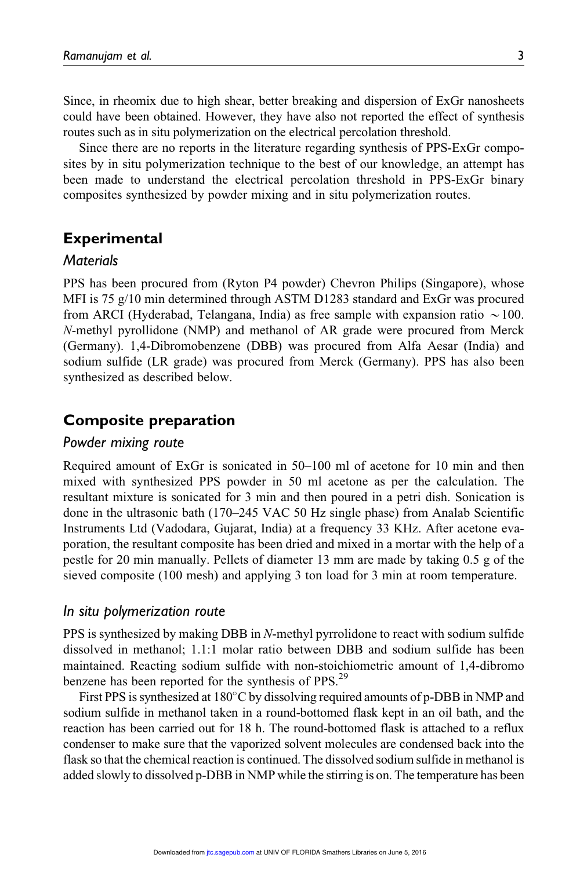Since, in rheomix due to high shear, better breaking and dispersion of ExGr nanosheets could have been obtained. However, they have also not reported the effect of synthesis routes such as in situ polymerization on the electrical percolation threshold.

Since there are no reports in the literature regarding synthesis of PPS-ExGr composites by in situ polymerization technique to the best of our knowledge, an attempt has been made to understand the electrical percolation threshold in PPS-ExGr binary composites synthesized by powder mixing and in situ polymerization routes.

# **Experimental**

#### **Materials**

PPS has been procured from (Ryton P4 powder) Chevron Philips (Singapore), whose MFI is 75 g/10 min determined through ASTM D1283 standard and ExGr was procured from ARCI (Hyderabad, Telangana, India) as free sample with expansion ratio  $\sim$  100. N-methyl pyrollidone (NMP) and methanol of AR grade were procured from Merck (Germany). 1,4-Dibromobenzene (DBB) was procured from Alfa Aesar (India) and sodium sulfide (LR grade) was procured from Merck (Germany). PPS has also been synthesized as described below.

# Composite preparation

#### Powder mixing route

Required amount of ExGr is sonicated in 50–100 ml of acetone for 10 min and then mixed with synthesized PPS powder in 50 ml acetone as per the calculation. The resultant mixture is sonicated for 3 min and then poured in a petri dish. Sonication is done in the ultrasonic bath (170–245 VAC 50 Hz single phase) from Analab Scientific Instruments Ltd (Vadodara, Gujarat, India) at a frequency 33 KHz. After acetone evaporation, the resultant composite has been dried and mixed in a mortar with the help of a pestle for 20 min manually. Pellets of diameter 13 mm are made by taking 0.5 g of the sieved composite (100 mesh) and applying 3 ton load for 3 min at room temperature.

#### In situ polymerization route

PPS is synthesized by making DBB in N-methyl pyrrolidone to react with sodium sulfide dissolved in methanol; 1.1:1 molar ratio between DBB and sodium sulfide has been maintained. Reacting sodium sulfide with non-stoichiometric amount of 1,4-dibromo benzene has been reported for the synthesis of PPS.<sup>29</sup>

First PPS is synthesized at 180°C by dissolving required amounts of p-DBB in NMP and sodium sulfide in methanol taken in a round-bottomed flask kept in an oil bath, and the reaction has been carried out for 18 h. The round-bottomed flask is attached to a reflux condenser to make sure that the vaporized solvent molecules are condensed back into the flask so that the chemical reaction is continued. The dissolved sodium sulfide in methanol is added slowly to dissolved p-DBB in NMP while the stirring is on. The temperature has been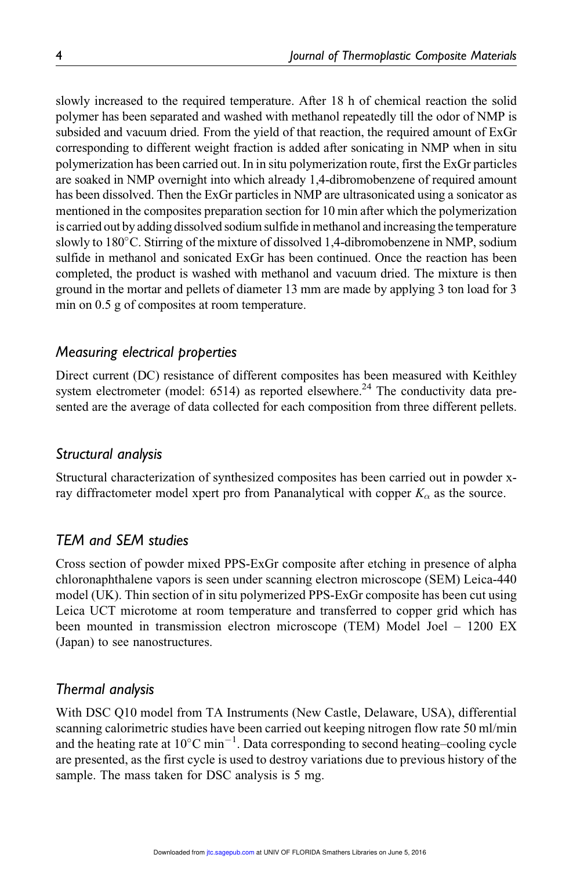slowly increased to the required temperature. After 18 h of chemical reaction the solid polymer has been separated and washed with methanol repeatedly till the odor of NMP is subsided and vacuum dried. From the yield of that reaction, the required amount of ExGr corresponding to different weight fraction is added after sonicating in NMP when in situ polymerization has been carried out. In in situ polymerization route, first the ExGr particles are soaked in NMP overnight into which already 1,4-dibromobenzene of required amount has been dissolved. Then the ExGr particles in NMP are ultrasonicated using a sonicator as mentioned in the composites preparation section for 10 min after which the polymerization is carried out by adding dissolved sodium sulfide in methanol and increasing the temperature slowly to 180°C. Stirring of the mixture of dissolved 1,4-dibromobenzene in NMP, sodium sulfide in methanol and sonicated ExGr has been continued. Once the reaction has been completed, the product is washed with methanol and vacuum dried. The mixture is then ground in the mortar and pellets of diameter 13 mm are made by applying 3 ton load for 3 min on 0.5 g of composites at room temperature.

#### Measuring electrical properties

Direct current (DC) resistance of different composites has been measured with Keithley system electrometer (model:  $6514$ ) as reported elsewhere.<sup>24</sup> The conductivity data presented are the average of data collected for each composition from three different pellets.

## Structural analysis

Structural characterization of synthesized composites has been carried out in powder xray diffractometer model xpert pro from Pananalytical with copper  $K_{\alpha}$  as the source.

## TEM and SEM studies

Cross section of powder mixed PPS-ExGr composite after etching in presence of alpha chloronaphthalene vapors is seen under scanning electron microscope (SEM) Leica-440 model (UK). Thin section of in situ polymerized PPS-ExGr composite has been cut using Leica UCT microtome at room temperature and transferred to copper grid which has been mounted in transmission electron microscope (TEM) Model Joel – 1200 EX (Japan) to see nanostructures.

#### Thermal analysis

With DSC Q10 model from TA Instruments (New Castle, Delaware, USA), differential scanning calorimetric studies have been carried out keeping nitrogen flow rate 50 ml/min and the heating rate at  $10^{\circ}$ C min<sup>-1</sup>. Data corresponding to second heating–cooling cycle are presented, as the first cycle is used to destroy variations due to previous history of the sample. The mass taken for DSC analysis is 5 mg.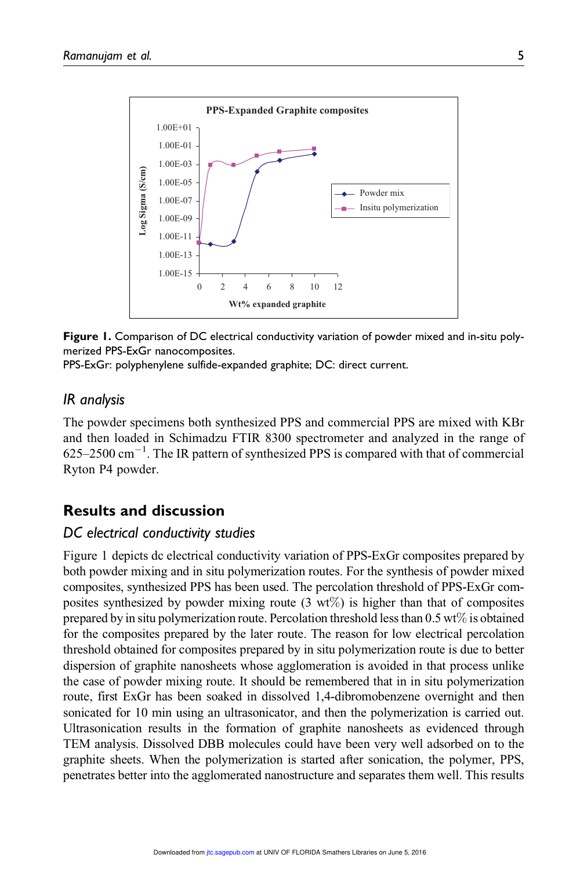

Figure 1. Comparison of DC electrical conductivity variation of powder mixed and in-situ polymerized PPS-ExGr nanocomposites.

PPS-ExGr: polyphenylene sulfide-expanded graphite; DC: direct current.

#### IR analysis

The powder specimens both synthesized PPS and commercial PPS are mixed with KBr and then loaded in Schimadzu FTIR 8300 spectrometer and analyzed in the range of  $625-2500$  cm<sup>-1</sup>. The IR pattern of synthesized PPS is compared with that of commercial Ryton P4 powder.

# Results and discussion

## DC electrical conductivity studies

Figure 1 depicts dc electrical conductivity variation of PPS-ExGr composites prepared by both powder mixing and in situ polymerization routes. For the synthesis of powder mixed composites, synthesized PPS has been used. The percolation threshold of PPS-ExGr composites synthesized by powder mixing route  $(3 \text{ wt})$ <sup>6</sup>) is higher than that of composites prepared by in situ polymerization route. Percolation threshold less than 0.5 wt% is obtained for the composites prepared by the later route. The reason for low electrical percolation threshold obtained for composites prepared by in situ polymerization route is due to better dispersion of graphite nanosheets whose agglomeration is avoided in that process unlike the case of powder mixing route. It should be remembered that in in situ polymerization route, first ExGr has been soaked in dissolved 1,4-dibromobenzene overnight and then sonicated for 10 min using an ultrasonicator, and then the polymerization is carried out. Ultrasonication results in the formation of graphite nanosheets as evidenced through TEM analysis. Dissolved DBB molecules could have been very well adsorbed on to the graphite sheets. When the polymerization is started after sonication, the polymer, PPS, penetrates better into the agglomerated nanostructure and separates them well. This results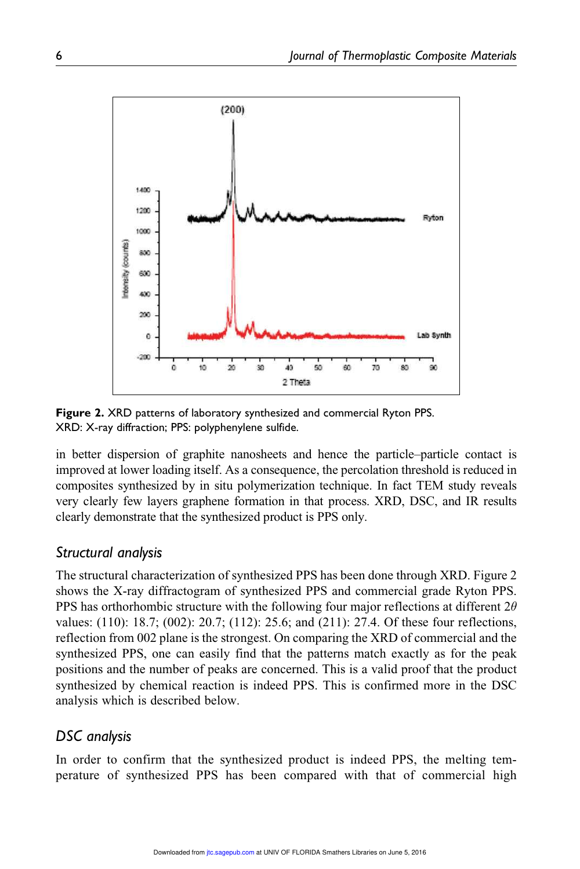

Figure 2. XRD patterns of laboratory synthesized and commercial Ryton PPS. XRD: X-ray diffraction; PPS: polyphenylene sulfide.

in better dispersion of graphite nanosheets and hence the particle–particle contact is improved at lower loading itself. As a consequence, the percolation threshold is reduced in composites synthesized by in situ polymerization technique. In fact TEM study reveals very clearly few layers graphene formation in that process. XRD, DSC, and IR results clearly demonstrate that the synthesized product is PPS only.

## Structural analysis

The structural characterization of synthesized PPS has been done through XRD. Figure 2 shows the X-ray diffractogram of synthesized PPS and commercial grade Ryton PPS. PPS has orthorhombic structure with the following four major reflections at different  $2\theta$ values: (110): 18.7; (002): 20.7; (112): 25.6; and (211): 27.4. Of these four reflections, reflection from 002 plane is the strongest. On comparing the XRD of commercial and the synthesized PPS, one can easily find that the patterns match exactly as for the peak positions and the number of peaks are concerned. This is a valid proof that the product synthesized by chemical reaction is indeed PPS. This is confirmed more in the DSC analysis which is described below.

# DSC analysis

In order to confirm that the synthesized product is indeed PPS, the melting temperature of synthesized PPS has been compared with that of commercial high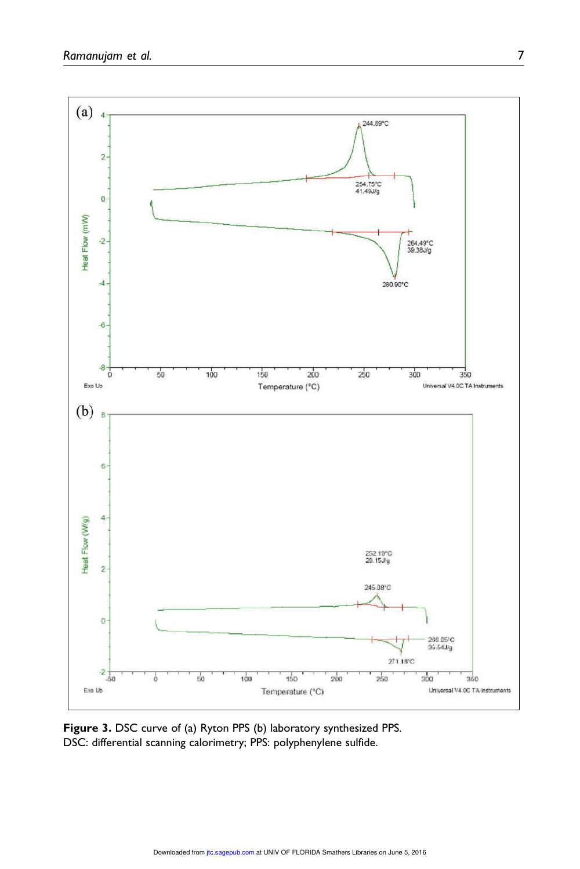

Figure 3. DSC curve of (a) Ryton PPS (b) laboratory synthesized PPS. DSC: differential scanning calorimetry; PPS: polyphenylene sulfide.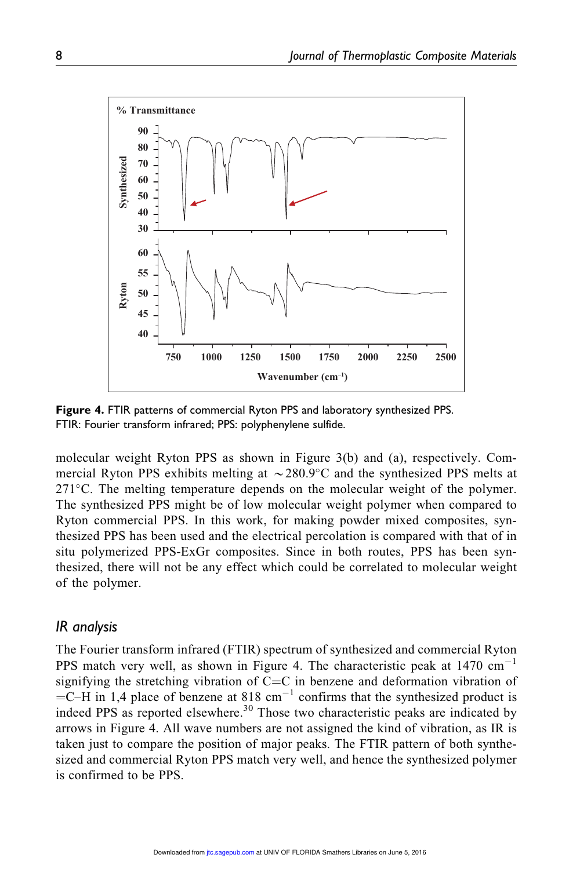

Figure 4. FTIR patterns of commercial Ryton PPS and laboratory synthesized PPS. FTIR: Fourier transform infrared; PPS: polyphenylene sulfide.

molecular weight Ryton PPS as shown in Figure 3(b) and (a), respectively. Commercial Ryton PPS exhibits melting at  $\sim$  280.9°C and the synthesized PPS melts at 271°C. The melting temperature depends on the molecular weight of the polymer. The synthesized PPS might be of low molecular weight polymer when compared to Ryton commercial PPS. In this work, for making powder mixed composites, synthesized PPS has been used and the electrical percolation is compared with that of in situ polymerized PPS-ExGr composites. Since in both routes, PPS has been synthesized, there will not be any effect which could be correlated to molecular weight of the polymer.

#### IR analysis

The Fourier transform infrared (FTIR) spectrum of synthesized and commercial Ryton PPS match very well, as shown in Figure 4. The characteristic peak at  $1470 \text{ cm}^{-1}$ signifying the stretching vibration of  $C = C$  in benzene and deformation vibration of  $=$ C–H in 1,4 place of benzene at 818 cm<sup>-1</sup> confirms that the synthesized product is indeed PPS as reported elsewhere.<sup>30</sup> Those two characteristic peaks are indicated by arrows in Figure 4. All wave numbers are not assigned the kind of vibration, as IR is taken just to compare the position of major peaks. The FTIR pattern of both synthesized and commercial Ryton PPS match very well, and hence the synthesized polymer is confirmed to be PPS.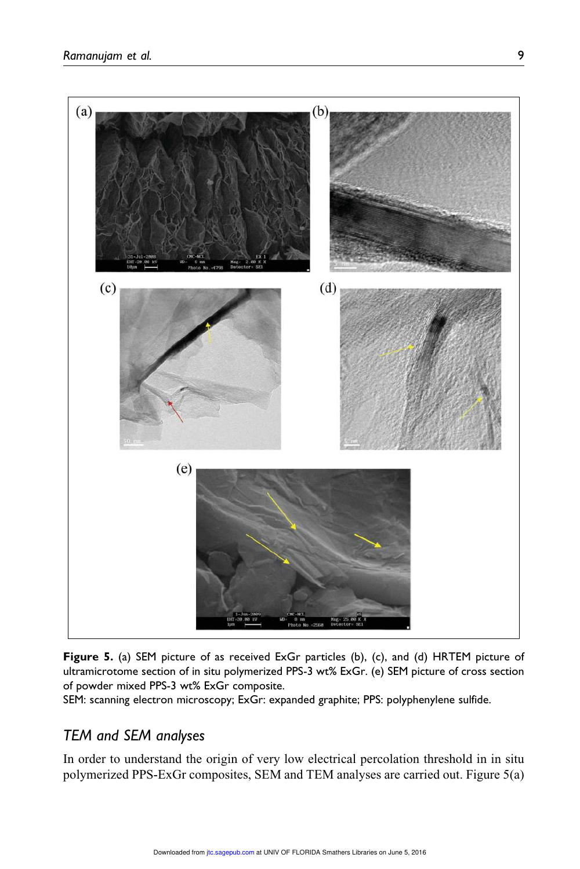

Figure 5. (a) SEM picture of as received ExGr particles (b), (c), and (d) HRTEM picture of ultramicrotome section of in situ polymerized PPS-3 wt% ExGr. (e) SEM picture of cross section of powder mixed PPS-3 wt% ExGr composite.

SEM: scanning electron microscopy; ExGr: expanded graphite; PPS: polyphenylene sulfide.

# TEM and SEM analyses

In order to understand the origin of very low electrical percolation threshold in in situ polymerized PPS-ExGr composites, SEM and TEM analyses are carried out. Figure 5(a)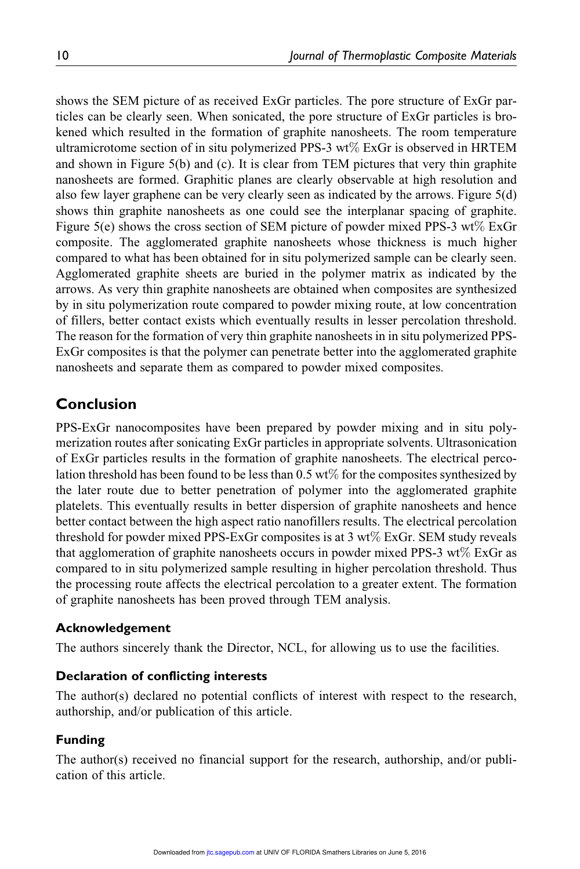shows the SEM picture of as received ExGr particles. The pore structure of ExGr particles can be clearly seen. When sonicated, the pore structure of ExGr particles is brokened which resulted in the formation of graphite nanosheets. The room temperature ultramicrotome section of in situ polymerized PPS-3 wt% ExGr is observed in HRTEM and shown in Figure 5(b) and (c). It is clear from TEM pictures that very thin graphite nanosheets are formed. Graphitic planes are clearly observable at high resolution and also few layer graphene can be very clearly seen as indicated by the arrows. Figure 5(d) shows thin graphite nanosheets as one could see the interplanar spacing of graphite. Figure 5(e) shows the cross section of SEM picture of powder mixed PPS-3 wt% ExGr composite. The agglomerated graphite nanosheets whose thickness is much higher compared to what has been obtained for in situ polymerized sample can be clearly seen. Agglomerated graphite sheets are buried in the polymer matrix as indicated by the arrows. As very thin graphite nanosheets are obtained when composites are synthesized by in situ polymerization route compared to powder mixing route, at low concentration of fillers, better contact exists which eventually results in lesser percolation threshold. The reason for the formation of very thin graphite nanosheets in in situ polymerized PPS-ExGr composites is that the polymer can penetrate better into the agglomerated graphite nanosheets and separate them as compared to powder mixed composites.

# Conclusion

PPS-ExGr nanocomposites have been prepared by powder mixing and in situ polymerization routes after sonicating ExGr particles in appropriate solvents. Ultrasonication of ExGr particles results in the formation of graphite nanosheets. The electrical percolation threshold has been found to be less than  $0.5 \text{ wt}$ % for the composites synthesized by the later route due to better penetration of polymer into the agglomerated graphite platelets. This eventually results in better dispersion of graphite nanosheets and hence better contact between the high aspect ratio nanofillers results. The electrical percolation threshold for powder mixed PPS-ExGr composites is at 3 wt% ExGr. SEM study reveals that agglomeration of graphite nanosheets occurs in powder mixed PPS-3 wt% ExGr as compared to in situ polymerized sample resulting in higher percolation threshold. Thus the processing route affects the electrical percolation to a greater extent. The formation of graphite nanosheets has been proved through TEM analysis.

#### Acknowledgement

The authors sincerely thank the Director, NCL, for allowing us to use the facilities.

#### Declaration of conflicting interests

The author(s) declared no potential conflicts of interest with respect to the research, authorship, and/or publication of this article.

#### Funding

The author(s) received no financial support for the research, authorship, and/or publication of this article.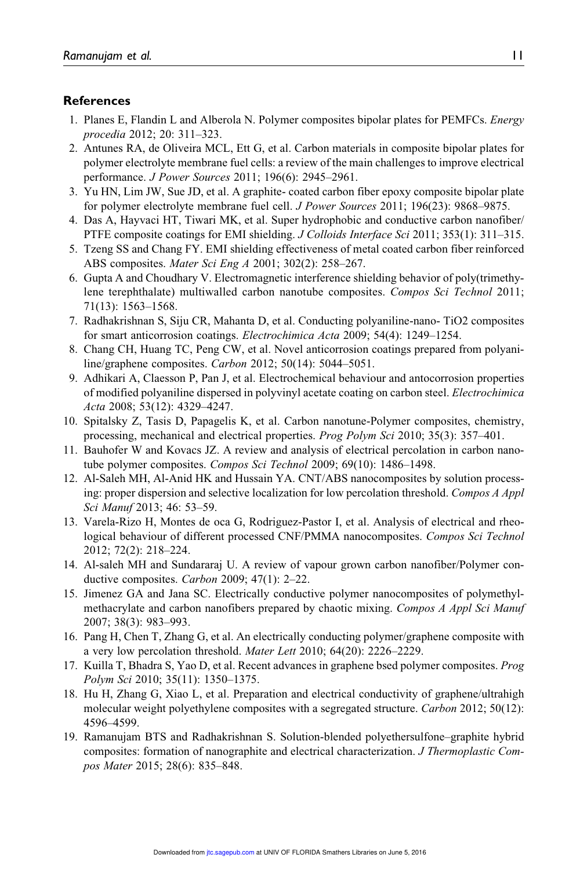#### **References**

- 1. Planes E, Flandin L and Alberola N. Polymer composites bipolar plates for PEMFCs. *Energy* procedia 2012; 20: 311–323.
- 2. Antunes RA, de Oliveira MCL, Ett G, et al. Carbon materials in composite bipolar plates for polymer electrolyte membrane fuel cells: a review of the main challenges to improve electrical performance. J Power Sources 2011; 196(6): 2945–2961.
- 3. Yu HN, Lim JW, Sue JD, et al. A graphite- coated carbon fiber epoxy composite bipolar plate for polymer electrolyte membrane fuel cell. J Power Sources 2011; 196(23): 9868–9875.
- 4. Das A, Hayvaci HT, Tiwari MK, et al. Super hydrophobic and conductive carbon nanofiber/ PTFE composite coatings for EMI shielding. J Colloids Interface Sci 2011; 353(1): 311–315.
- 5. Tzeng SS and Chang FY. EMI shielding effectiveness of metal coated carbon fiber reinforced ABS composites. Mater Sci Eng A 2001; 302(2): 258–267.
- 6. Gupta A and Choudhary V. Electromagnetic interference shielding behavior of poly(trimethylene terephthalate) multiwalled carbon nanotube composites. Compos Sci Technol 2011; 71(13): 1563–1568.
- 7. Radhakrishnan S, Siju CR, Mahanta D, et al. Conducting polyaniline-nano- TiO2 composites for smart anticorrosion coatings. Electrochimica Acta 2009; 54(4): 1249–1254.
- 8. Chang CH, Huang TC, Peng CW, et al. Novel anticorrosion coatings prepared from polyaniline/graphene composites. Carbon 2012; 50(14): 5044–5051.
- 9. Adhikari A, Claesson P, Pan J, et al. Electrochemical behaviour and antocorrosion properties of modified polyaniline dispersed in polyvinyl acetate coating on carbon steel. Electrochimica Acta 2008; 53(12): 4329–4247.
- 10. Spitalsky Z, Tasis D, Papagelis K, et al. Carbon nanotune-Polymer composites, chemistry, processing, mechanical and electrical properties. Prog Polym Sci 2010; 35(3): 357–401.
- 11. Bauhofer W and Kovacs JZ. A review and analysis of electrical percolation in carbon nanotube polymer composites. Compos Sci Technol 2009; 69(10): 1486–1498.
- 12. Al-Saleh MH, Al-Anid HK and Hussain YA. CNT/ABS nanocomposites by solution processing: proper dispersion and selective localization for low percolation threshold. Compos A Appl Sci Manuf 2013; 46: 53–59.
- 13. Varela-Rizo H, Montes de oca G, Rodriguez-Pastor I, et al. Analysis of electrical and rheological behaviour of different processed CNF/PMMA nanocomposites. Compos Sci Technol 2012; 72(2): 218–224.
- 14. Al-saleh MH and Sundararaj U. A review of vapour grown carbon nanofiber/Polymer conductive composites. Carbon 2009; 47(1): 2–22.
- 15. Jimenez GA and Jana SC. Electrically conductive polymer nanocomposites of polymethylmethacrylate and carbon nanofibers prepared by chaotic mixing. Compos A Appl Sci Manuf 2007; 38(3): 983–993.
- 16. Pang H, Chen T, Zhang G, et al. An electrically conducting polymer/graphene composite with a very low percolation threshold. Mater Lett 2010; 64(20): 2226–2229.
- 17. Kuilla T, Bhadra S, Yao D, et al. Recent advances in graphene bsed polymer composites. Prog Polym Sci 2010; 35(11): 1350–1375.
- 18. Hu H, Zhang G, Xiao L, et al. Preparation and electrical conductivity of graphene/ultrahigh molecular weight polyethylene composites with a segregated structure. Carbon 2012; 50(12): 4596–4599.
- 19. Ramanujam BTS and Radhakrishnan S. Solution-blended polyethersulfone–graphite hybrid composites: formation of nanographite and electrical characterization. J Thermoplastic Compos Mater 2015; 28(6): 835–848.